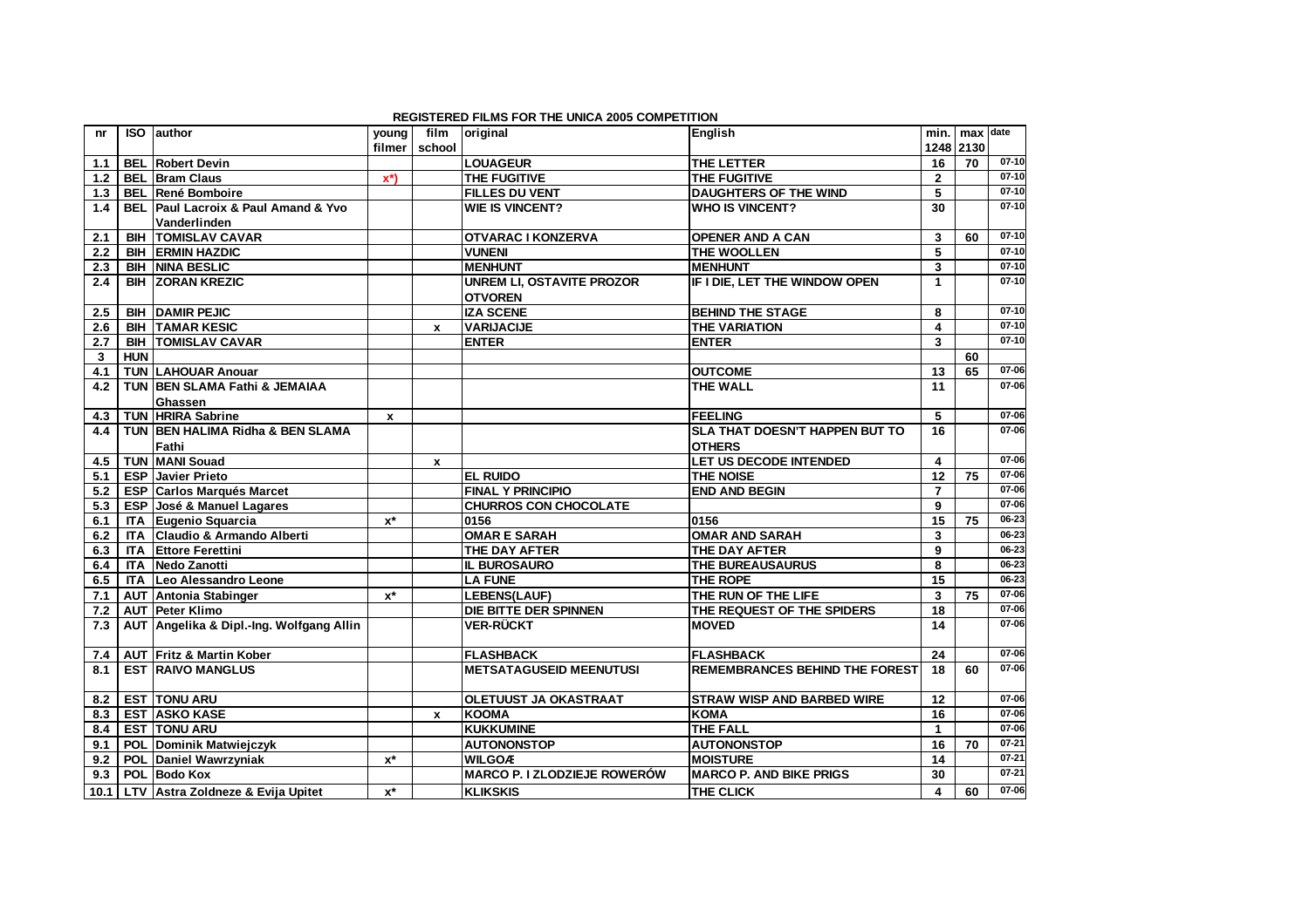|              |            |                                                    |                           |                  | <b>REGISTERED FILMS FOR THE UNICA 2005 COMPETITION</b> |                                       |                      |           |           |
|--------------|------------|----------------------------------------------------|---------------------------|------------------|--------------------------------------------------------|---------------------------------------|----------------------|-----------|-----------|
| nr           | <b>ISO</b> | author                                             | young                     | film             | original                                               | English                               |                      | min. max  | date      |
|              |            |                                                    | filmer                    | school           |                                                        |                                       |                      | 1248 2130 |           |
| 1.1          |            | <b>BEL Robert Devin</b>                            |                           |                  | <b>LOUAGEUR</b>                                        | THE LETTER                            | 16                   | 70        | $07-10$   |
| 1.2          |            | <b>BEL Bram Claus</b>                              | $\mathbf{x}^*$            |                  | <b>THE FUGITIVE</b>                                    | THE FUGITIVE                          | $\mathbf{2}$         |           | $07 - 10$ |
| $1.3$        |            | <b>BEL René Bomboire</b>                           |                           |                  | <b>FILLES DU VENT</b>                                  | <b>DAUGHTERS OF THE WIND</b>          | 5                    |           | $07 - 10$ |
| 1.4          |            | <b>BEL Paul Lacroix &amp; Paul Amand &amp; Yvo</b> |                           |                  | <b>WIE IS VINCENT?</b>                                 | <b>WHO IS VINCENT?</b>                | 30                   |           | $07 - 10$ |
|              |            | Vanderlinden                                       |                           |                  |                                                        |                                       |                      |           |           |
| 2.1          |            | <b>BIH TOMISLAV CAVAR</b>                          |                           |                  | <b>OTVARAC I KONZERVA</b>                              | <b>OPENER AND A CAN</b>               | 3                    | 60        | $07-10$   |
| $2.2$        |            | <b>BIH ERMIN HAZDIC</b>                            |                           |                  | <b>VUNENI</b>                                          | THE WOOLLEN                           | 5                    |           | $07 - 10$ |
| 2.3          |            | <b>BIH NINA BESLIC</b>                             |                           |                  | <b>MENHUNT</b>                                         | <b>MENHUNT</b>                        | 3                    |           | $07 - 10$ |
| 2.4          |            | <b>BIH ZORAN KREZIC</b>                            |                           |                  | <b>UNREM LI, OSTAVITE PROZOR</b>                       | IF I DIE, LET THE WINDOW OPEN         | $\mathbf{1}$         |           | $07-10$   |
|              |            |                                                    |                           |                  | <b>OTVOREN</b>                                         |                                       |                      |           |           |
| 2.5          |            | <b>BIH DAMIR PEJIC</b>                             |                           |                  | <b>IZA SCENE</b>                                       | <b>BEHIND THE STAGE</b>               | 8                    |           | $07 - 10$ |
| 2.6          |            | <b>BIH TAMAR KESIC</b>                             |                           | $\boldsymbol{x}$ | <b>VARIJACIJE</b>                                      | <b>THE VARIATION</b>                  | 4                    |           | $07-10$   |
| 2.7          |            | <b>BIH TOMISLAV CAVAR</b>                          |                           |                  | <b>ENTER</b>                                           | <b>ENTER</b>                          | 3                    |           | $07-10$   |
| $\mathbf{3}$ | <b>HUN</b> |                                                    |                           |                  |                                                        |                                       |                      | 60        |           |
| 4.1          |            | <b>TUN LAHOUAR Anouar</b>                          |                           |                  |                                                        | <b>OUTCOME</b>                        | 13                   | 65        | $07 - 06$ |
| 4.2          |            | TUN BEN SLAMA Fathi & JEMAIAA                      |                           |                  |                                                        | <b>THE WALL</b>                       | 11                   |           | $07 - 06$ |
|              |            | Ghassen                                            |                           |                  |                                                        |                                       |                      |           |           |
| 4.3          |            | <b>TUN HRIRA Sabrine</b>                           | $\boldsymbol{\mathsf{x}}$ |                  |                                                        | <b>FEELING</b>                        | 5                    |           | $07 - 06$ |
| 4.4          |            | TUN BEN HALIMA Ridha & BEN SLAMA                   |                           |                  |                                                        | <b>SLA THAT DOESN'T HAPPEN BUT TO</b> | 16                   |           | 07-06     |
|              |            | Fathi                                              |                           |                  |                                                        | <b>OTHERS</b>                         |                      |           |           |
| 4.5          |            | <b>TUN MANI Souad</b>                              |                           | x                |                                                        | <b>LET US DECODE INTENDED</b>         | 4                    |           | $07 - 06$ |
| 5.1          |            | <b>ESP</b> Javier Prieto                           |                           |                  | <b>EL RUIDO</b>                                        | <b>THE NOISE</b>                      | 12                   | 75        | $07 - 06$ |
| 5.2          |            | <b>ESP Carlos Marqués Marcet</b>                   |                           |                  | <b>FINAL Y PRINCIPIO</b>                               | <b>END AND BEGIN</b>                  | $\overline{7}$       |           | 07-06     |
| 5.3          |            | ESP José & Manuel Lagares                          |                           |                  | <b>CHURROS CON CHOCOLATE</b>                           |                                       | 9                    |           | $07 - 06$ |
| 6.1          |            | ITA Eugenio Squarcia                               | $x^*$                     |                  | 0156                                                   | 0156                                  | 15                   | 75        | $06 - 23$ |
| 6.2          |            | ITA Claudio & Armando Alberti                      |                           |                  | <b>OMAR E SARAH</b>                                    | <b>OMAR AND SARAH</b>                 | 3                    |           | 06-23     |
| 6.3          |            | <b>ITA Ettore Ferettini</b>                        |                           |                  | THE DAY AFTER                                          | THE DAY AFTER                         | 9                    |           | $06 - 23$ |
| 6.4          |            | <b>ITA Nedo Zanotti</b>                            |                           |                  | <b>IL BUROSAURO</b>                                    | THE BUREAUSAURUS                      | 8                    |           | $06 - 23$ |
| 6.5          |            | ITA Leo Alessandro Leone                           |                           |                  | <b>LA FUNE</b>                                         | THE ROPE                              | $\overline{15}$      |           | $06 - 23$ |
| 7.1          |            | <b>AUT Antonia Stabinger</b>                       | $x^*$                     |                  | <b>LEBENS(LAUF)</b>                                    | THE RUN OF THE LIFE                   | 3                    | 75        | $07 - 06$ |
| 7.2          |            | AUT Peter Klimo                                    |                           |                  | DIE BITTE DER SPINNEN                                  | THE REQUEST OF THE SPIDERS            | 18                   |           | $07 - 06$ |
| 7.3          |            | AUT Angelika & Dipl.-Ing. Wolfgang Allin           |                           |                  | <b>VER-RÜCKT</b>                                       | <b>MOVED</b>                          | 14                   |           | 07-06     |
|              |            |                                                    |                           |                  |                                                        |                                       |                      |           |           |
| 7.4          |            | AUT Fritz & Martin Kober                           |                           |                  | <b>FLASHBACK</b>                                       | <b>FLASHBACK</b>                      | 24                   |           | 07-06     |
| 8.1          |            | <b>EST RAIVO MANGLUS</b>                           |                           |                  | <b>METSATAGUSEID MEENUTUSI</b>                         | <b>REMEMBRANCES BEHIND THE FOREST</b> | 18                   | 60        | 07-06     |
|              |            |                                                    |                           |                  |                                                        |                                       |                      |           |           |
| 8.2          |            | <b>EST TONU ARU</b>                                |                           |                  | <b>OLETUUST JA OKASTRAAT</b>                           | <b>STRAW WISP AND BARBED WIRE</b>     | 12                   |           | $07 - 06$ |
| 8.3          |            | <b>EST ASKO KASE</b>                               |                           | $\mathbf{x}$     | <b>KOOMA</b>                                           | <b>KOMA</b>                           | 16                   |           | $07 - 06$ |
| 8.4          |            | <b>EST TONU ARU</b>                                |                           |                  | <b>KUKKUMINE</b>                                       | THE FALL                              | $\blacktriangleleft$ |           | $07 - 06$ |
| 9.1          |            | POL Dominik Matwiejczyk                            |                           |                  | <b>AUTONONSTOP</b>                                     | <b>AUTONONSTOP</b>                    | 16                   | 70        | $07 - 21$ |
| 9.2          |            | POL Daniel Wawrzyniak                              | $x^*$                     |                  | <b>WILGOA</b>                                          | <b>MOISTURE</b>                       | 14                   |           | $07 - 21$ |
| 9.3          |            | POL Bodo Kox                                       |                           |                  | <b>MARCO P. I ZLODZIEJE ROWERÓW</b>                    | <b>MARCO P. AND BIKE PRIGS</b>        | 30                   |           | $07 - 21$ |
|              |            | 10.1 LTV Astra Zoldneze & Evija Upitet             | $x^*$                     |                  | <b>KLIKSKIS</b>                                        | <b>THE CLICK</b>                      | 4                    | 60        | 07-06     |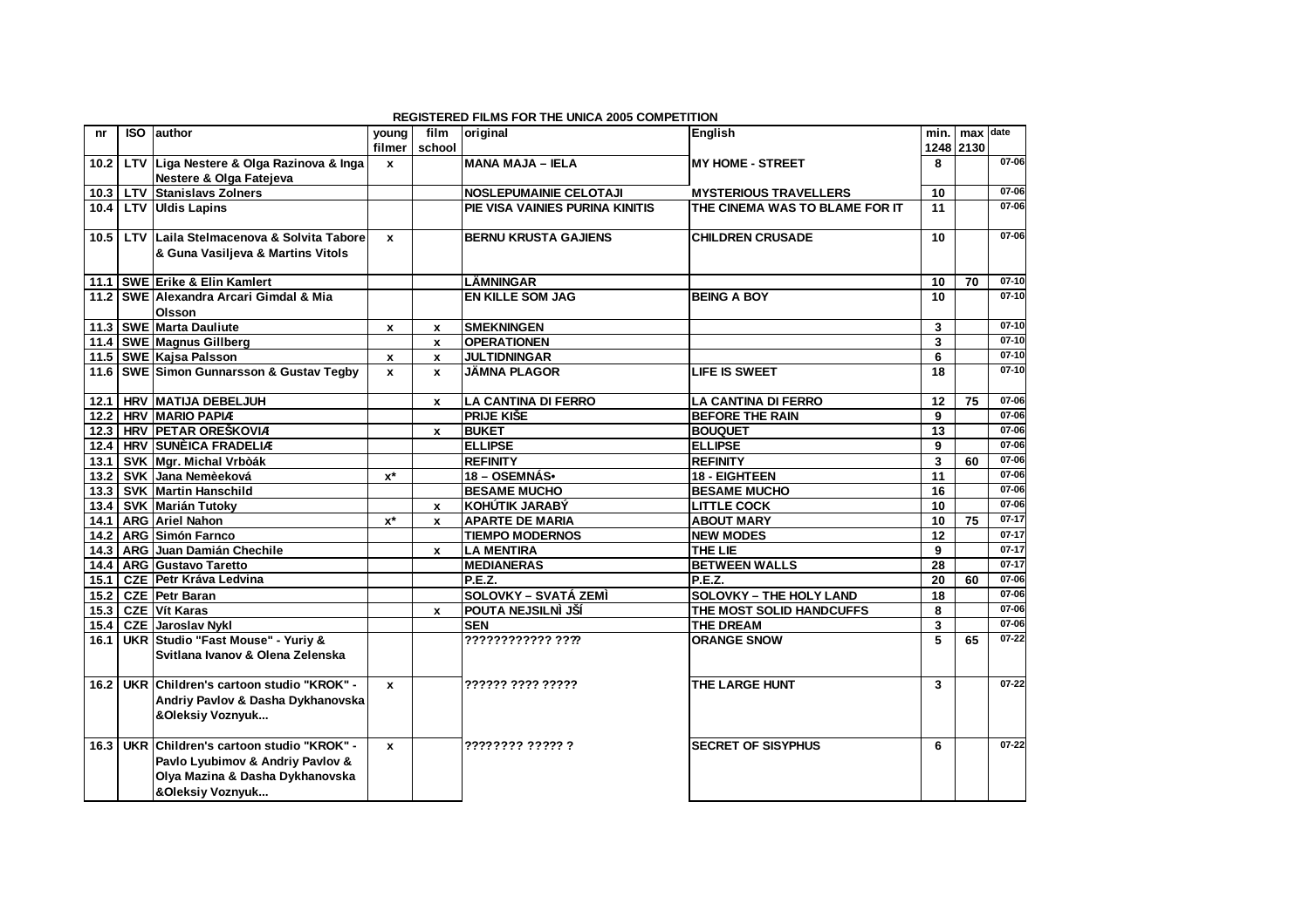|      |            |                                               |                    |                    | <b>REGISTERED FILMS FOR THE UNICA 2005 COMPETITION</b> |                                |              |           |           |
|------|------------|-----------------------------------------------|--------------------|--------------------|--------------------------------------------------------|--------------------------------|--------------|-----------|-----------|
| nr   | <b>ISO</b> | lauthor                                       | young              | film               | original                                               | English                        | min. I       | max       | date      |
|      |            |                                               | filmer             | school             |                                                        |                                |              | 1248 2130 |           |
| 10.2 |            | LTV Liga Nestere & Olga Razinova & Inga       | $\mathbf{x}$       |                    | <b>MANA MAJA - IELA</b>                                | IMY HOME - STREET              | 8            |           | 07-06     |
|      |            | Nestere & Olga Fatejeva                       |                    |                    |                                                        |                                |              |           |           |
| 10.3 |            | <b>LTV Stanislavs Zolners</b>                 |                    |                    | <b>NOSLEPUMAINIE CELOTAJI</b>                          | <b>MYSTERIOUS TRAVELLERS</b>   | 10           |           | 07-06     |
| 10.4 |            | LTV Uldis Lapins                              |                    |                    | PIE VISA VAINIES PURINA KINITIS                        | THE CINEMA WAS TO BLAME FOR IT | 11           |           | $07 - 06$ |
|      |            |                                               |                    |                    |                                                        |                                |              |           |           |
| 10.5 | <b>LTV</b> | Laila Stelmacenova & Solvita Tabore           | $\mathbf{x}$       |                    | <b>BERNU KRUSTA GAJIENS</b>                            | <b>CHILDREN CRUSADE</b>        | 10           |           | 07-06     |
|      |            | & Guna Vasiljeva & Martins Vitols             |                    |                    |                                                        |                                |              |           |           |
|      |            |                                               |                    |                    |                                                        |                                |              |           |           |
|      |            | 11.1 SWE Erike & Elin Kamlert                 |                    |                    | <b>LÄMNINGAR</b>                                       |                                | 10           | 70        | $07-10$   |
|      |            | 11.2 SWE Alexandra Arcari Gimdal & Mia        |                    |                    | <b>EN KILLE SOM JAG</b>                                | <b>BEING A BOY</b>             | 10           |           | $07-10$   |
|      |            | Olsson                                        |                    |                    |                                                        |                                |              |           |           |
| 11.3 |            | <b>SWE Marta Dauliute</b>                     | $\mathbf{x}$       | x                  | <b>SMEKNINGEN</b>                                      |                                | 3            |           | $07 - 10$ |
|      |            | 11.4 SWE Magnus Gillberg                      |                    | x                  | <b>OPERATIONEN</b>                                     |                                | 3            |           | $07-10$   |
|      |            | 11.5 SWE Kajsa Palsson                        | $\mathbf{x}$       | $\pmb{\mathsf{x}}$ | <b>JULTIDNINGAR</b>                                    |                                | 6            |           | $07-10$   |
|      |            | 11.6   SWE Simon Gunnarsson & Gustav Tegby    | $\mathbf{x}$       | $\mathbf{x}$       | <b>JÄMNA PLAGOR</b>                                    | <b>LIFE IS SWEET</b>           | 18           |           | $07-10$   |
|      |            |                                               |                    |                    |                                                        |                                |              |           |           |
| 12.1 |            | HRV MATIJA DEBELJUH                           |                    | $\mathbf{x}$       | <b>LA CANTINA DI FERRO</b>                             | <b>LA CANTINA DI FERRO</b>     | 12           | 75        | 07-06     |
| 12.2 |            | <b>HRV MARIO PAPIA</b>                        |                    |                    | <b>PRIJE KIŠE</b>                                      | <b>BEFORE THE RAIN</b>         | 9            |           | $07 - 06$ |
|      |            | 12.3 HRV PETAR OREŠKOVIA                      |                    | x                  | <b>BUKET</b>                                           | <b>BOUQUET</b>                 | 13           |           | $07 - 06$ |
| 12.4 |            | <b>HRV SUNÈICA FRADELIA</b>                   |                    |                    | <b>ELLIPSE</b>                                         | <b>ELLIPSE</b>                 | 9            |           | 07-06     |
| 13.1 |            | SVK Mgr. Michal Vrbòák                        |                    |                    | <b>REFINITY</b>                                        | <b>REFINITY</b>                | 3            | 60        | $07 - 06$ |
| 13.2 |            | SVK Jana Nemèeková                            | $x^*$              |                    | 18 - OSEMNÁS•                                          | 18 - EIGHTEEN                  | 11           |           | $07 - 06$ |
| 13.3 |            | <b>SVK Martin Hanschild</b>                   |                    |                    | <b>BESAME MUCHO</b>                                    | <b>BESAME MUCHO</b>            | 16           |           | $07 - 06$ |
|      |            | 13.4 SVK Marián Tutoky                        |                    | x                  | <b>KOHÚTIK JARABÝ</b>                                  | <b>LITTLE COCK</b>             | 10           |           | 07-06     |
| 14.1 |            | <b>ARG</b> Ariel Nahon                        | $x^*$              | $\mathbf{x}$       | <b>APARTE DE MARIA</b>                                 | <b>ABOUT MARY</b>              | 10           | 75        | $07 - 17$ |
|      |            | 14.2 ARG Simón Farnco                         |                    |                    | <b>TIEMPO MODERNOS</b>                                 | <b>NEW MODES</b>               | 12           |           | $07 - 17$ |
|      |            | 14.3 ARG Juan Damián Chechile                 |                    | $\mathbf{x}$       | <b>LA MENTIRA</b>                                      | <b>THE LIE</b>                 | 9            |           | $07-17$   |
| 14.4 |            | ARG Gustavo Taretto                           |                    |                    | <b>MEDIANERAS</b>                                      | <b>BETWEEN WALLS</b>           | 28           |           | $07-17$   |
| 15.1 |            | <b>CZE Petr Kráva Ledvina</b>                 |                    |                    | P.E.Z.                                                 | P.E.Z.                         | 20           | 60        | $07 - 06$ |
| 15.2 |            | <b>CZE</b> Petr Baran                         |                    |                    | <b>SOLOVKY – SVATÁ ZEMÍ</b>                            | <b>SOLOVKY - THE HOLY LAND</b> | 18           |           | $07 - 06$ |
|      |            | 15.3 CZE Vít Karas                            |                    | x                  | POUTA NEJSILNÌ JŠÍ                                     | THE MOST SOLID HANDCUFFS       | 8            |           | $07 - 06$ |
| 15.4 |            | <b>CZE</b> Jaroslav Nykl                      |                    |                    | <b>SEN</b>                                             | <b>THE DREAM</b>               | 3            |           | $07 - 06$ |
| 16.1 |            | UKR Studio "Fast Mouse" - Yuriy &             |                    |                    | ???????????? ????                                      | <b>ORANGE SNOW</b>             | 5            | 65        | $07 - 22$ |
|      |            | Svitlana Ivanov & Olena Zelenska              |                    |                    |                                                        |                                |              |           |           |
|      |            |                                               |                    |                    |                                                        |                                |              |           |           |
|      |            | 16.2 UKR Children's cartoon studio "KROK" -   | $\pmb{\mathsf{x}}$ |                    | ?????? ???? ?????                                      | THE LARGE HUNT                 | $\mathbf{3}$ |           | $07 - 22$ |
|      |            | Andriy Pavlov & Dasha Dykhanovska             |                    |                    |                                                        |                                |              |           |           |
|      |            | &Oleksiy Voznyuk                              |                    |                    |                                                        |                                |              |           |           |
|      |            |                                               |                    |                    |                                                        |                                |              |           |           |
|      |            | 16.3   UKR Children's cartoon studio "KROK" - | $\mathbf{x}$       |                    | ???????? ????? ?                                       | <b>SECRET OF SISYPHUS</b>      | 6            |           | $07 - 22$ |
|      |            | Pavlo Lyubimov & Andriy Pavlov &              |                    |                    |                                                        |                                |              |           |           |
|      |            |                                               |                    |                    |                                                        |                                |              |           |           |
|      |            | Olya Mazina & Dasha Dykhanovska               |                    |                    |                                                        |                                |              |           |           |
|      |            | &Oleksiy Voznyuk                              |                    |                    |                                                        |                                |              |           |           |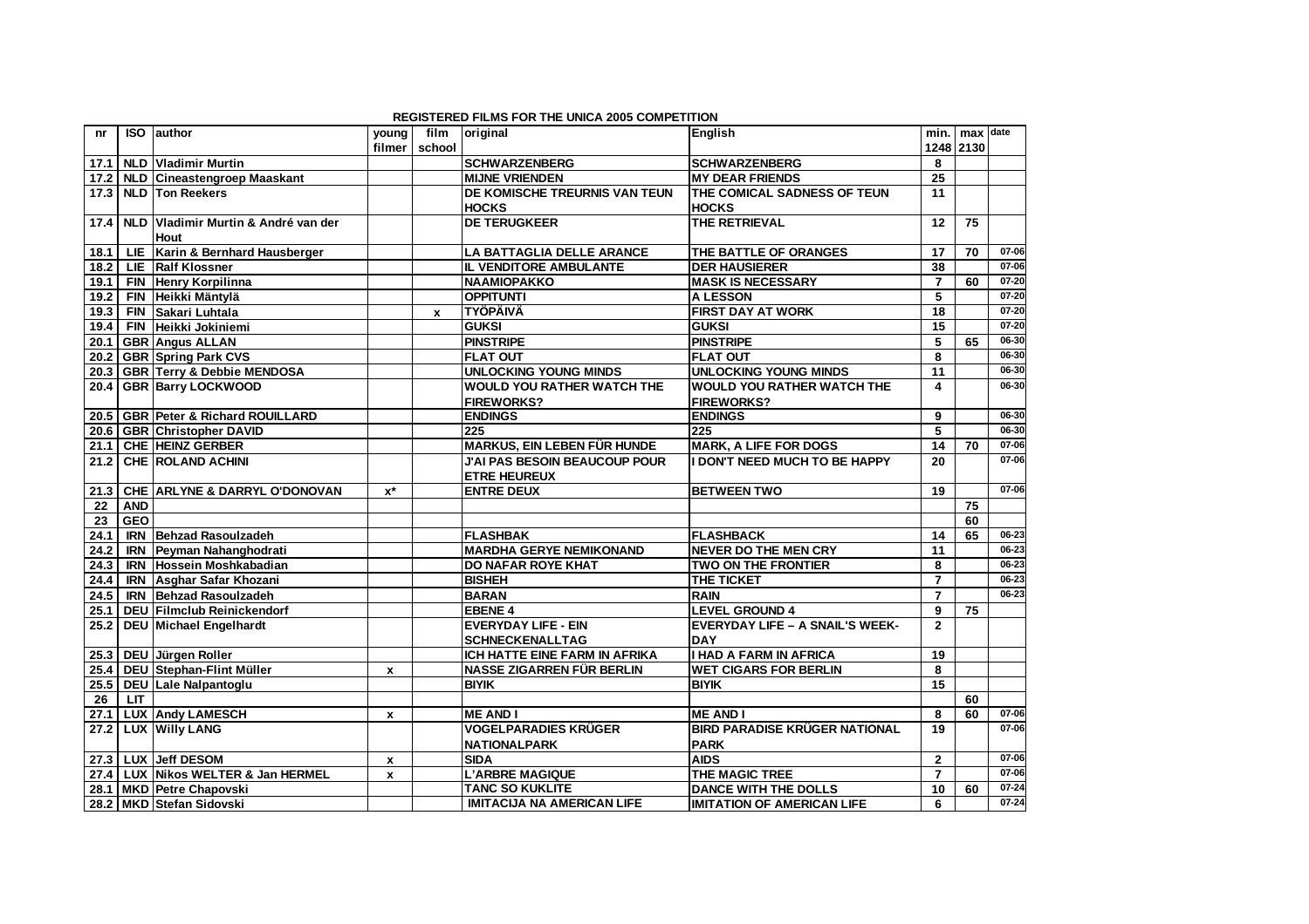|      |            |                                          |                    |              | <b>REGISTERED FILMS FOR THE UNICA 2005 COMPETITION</b> |                                        |                 |     |           |
|------|------------|------------------------------------------|--------------------|--------------|--------------------------------------------------------|----------------------------------------|-----------------|-----|-----------|
| nr   | <b>ISO</b> | author                                   | young              | film         | original                                               | <b>Enalish</b>                         | min.            | max | date      |
|      |            |                                          | filmer             | school       |                                                        |                                        | 1248 2130       |     |           |
| 17.1 |            | <b>NLD Vladimir Murtin</b>               |                    |              | <b>SCHWARZENBERG</b>                                   | <b>SCHWARZENBERG</b>                   | 8               |     |           |
| 17.2 |            | NLD Cineastengroep Maaskant              |                    |              | <b>MIJNE VRIENDEN</b>                                  | <b>MY DEAR FRIENDS</b>                 | 25              |     |           |
| 17.3 |            | <b>NLD Ton Reekers</b>                   |                    |              | DE KOMISCHE TREURNIS VAN TEUN                          | THE COMICAL SADNESS OF TEUN            | 11              |     |           |
|      |            |                                          |                    |              | <b>HOCKS</b>                                           | <b>HOCKS</b>                           |                 |     |           |
| 17.4 | <b>NLD</b> | Vladimir Murtin & André van der          |                    |              | <b>DE TERUGKEER</b>                                    | THE RETRIEVAL                          | 12              | 75  |           |
|      |            | <b>Hout</b>                              |                    |              |                                                        |                                        |                 |     |           |
| 18.1 |            | LIE Karin & Bernhard Hausberger          |                    |              | <b>LA BATTAGLIA DELLE ARANCE</b>                       | THE BATTLE OF ORANGES                  | 17              | 70  | 07-06     |
| 18.2 |            | LIE Ralf Klossner                        |                    |              | <b>IL VENDITORE AMBULANTE</b>                          | <b>DER HAUSIERER</b>                   | 38              |     | $07 - 06$ |
| 19.1 |            | FIN Henry Korpilinna                     |                    |              | <b>NAAMIOPAKKO</b>                                     | <b>MASK IS NECESSARY</b>               | $\overline{7}$  | 60  | $07 - 20$ |
| 19.2 |            | FIN Heikki Mäntylä                       |                    |              | <b>OPPITUNTI</b>                                       | <b>A LESSON</b>                        | 5               |     | $07 - 20$ |
| 19.3 |            | FIN Sakari Luhtala                       |                    | $\mathbf{x}$ | <b>TYÖPÄIVÄ</b>                                        | <b>FIRST DAY AT WORK</b>               | 18              |     | $07 - 20$ |
| 19.4 |            | FIN Heikki Jokiniemi                     |                    |              | <b>GUKSI</b>                                           | <b>GUKSI</b>                           | $\overline{15}$ |     | $07 - 20$ |
| 20.1 |            | <b>GBR</b> Angus ALLAN                   |                    |              | <b>PINSTRIPE</b>                                       | <b>PINSTRIPE</b>                       | 5               | 65  | $06 - 30$ |
| 20.2 |            | <b>GBR Spring Park CVS</b>               |                    |              | <b>FLAT OUT</b>                                        | <b>FLAT OUT</b>                        | 8               |     | 06-30     |
| 20.3 |            | <b>GBR Terry &amp; Debbie MENDOSA</b>    |                    |              | <b>UNLOCKING YOUNG MINDS</b>                           | <b>UNLOCKING YOUNG MINDS</b>           | 11              |     | $06 - 30$ |
| 20.4 |            | <b>GBR Barry LOCKWOOD</b>                |                    |              | <b>WOULD YOU RATHER WATCH THE</b>                      | <b>WOULD YOU RATHER WATCH THE</b>      | 4               |     | $06 - 30$ |
|      |            |                                          |                    |              | <b>FIREWORKS?</b>                                      | <b>FIREWORKS?</b>                      |                 |     |           |
| 20.5 |            | <b>GBR Peter &amp; Richard ROUILLARD</b> |                    |              | <b>ENDINGS</b>                                         | <b>ENDINGS</b>                         | 9               |     | 06-30     |
| 20.6 |            | <b>GBR Christopher DAVID</b>             |                    |              | 225                                                    | 225                                    | 5               |     | 06-30     |
| 21.1 |            | <b>CHE HEINZ GERBER</b>                  |                    |              | <b>MARKUS, EIN LEBEN FÜR HUNDE</b>                     | <b>MARK, A LIFE FOR DOGS</b>           | 14              | 70  | 07-06     |
| 21.2 |            | <b>CHE ROLAND ACHINI</b>                 |                    |              | <b>J'AI PAS BESOIN BEAUCOUP POUR</b>                   | <b>I DON'T NEED MUCH TO BE HAPPY</b>   | 20              |     | 07-06     |
|      |            |                                          |                    |              | <b>ETRE HEUREUX</b>                                    |                                        |                 |     |           |
| 21.3 |            | CHE ARLYNE & DARRYL O'DONOVAN            | $x^*$              |              | <b>ENTRE DEUX</b>                                      | <b>BETWEEN TWO</b>                     | 19              |     | $07 - 06$ |
| 22   | <b>AND</b> |                                          |                    |              |                                                        |                                        |                 | 75  |           |
| 23   | <b>GEO</b> |                                          |                    |              |                                                        |                                        |                 | 60  |           |
| 24.1 |            | <b>IRN Behzad Rasoulzadeh</b>            |                    |              | <b>FLASHBAK</b>                                        | <b>FLASHBACK</b>                       | 14              | 65  | 06-23     |
| 24.2 |            | <b>IRN</b> Peyman Nahanghodrati          |                    |              | <b>MARDHA GERYE NEMIKONAND</b>                         | <b>NEVER DO THE MEN CRY</b>            | 11              |     | 06-23     |
| 24.3 |            | <b>IRN Hossein Moshkabadian</b>          |                    |              | <b>DO NAFAR ROYE KHAT</b>                              | <b>TWO ON THE FRONTIER</b>             | 8               |     | 06-23     |
| 24.4 |            | <b>IRN</b> Asghar Safar Khozani          |                    |              | <b>BISHEH</b>                                          | <b>THE TICKET</b>                      | $\overline{7}$  |     | $06 - 23$ |
| 24.5 |            | <b>IRN Behzad Rasoulzadeh</b>            |                    |              | <b>BARAN</b>                                           | <b>RAIN</b>                            | $\overline{7}$  |     | 06-23     |
| 25.1 |            | DEU Filmclub Reinickendorf               |                    |              | <b>EBENE 4</b>                                         | <b>LEVEL GROUND 4</b>                  | 9               | 75  |           |
| 25.2 |            | DEU Michael Engelhardt                   |                    |              | <b>EVERYDAY LIFE - EIN</b>                             | <b>EVERYDAY LIFE - A SNAIL'S WEEK-</b> | $\mathbf{2}$    |     |           |
|      |            |                                          |                    |              | <b>SCHNECKENALLTAG</b>                                 | DAY                                    |                 |     |           |
| 25.3 |            | DEU Jürgen Roller                        |                    |              | ICH HATTE EINE FARM IN AFRIKA                          | <b>I HAD A FARM IN AFRICA</b>          | 19              |     |           |
| 25.4 |            | DEU Stephan-Flint Müller                 | $\pmb{\mathsf{x}}$ |              | <b>NASSE ZIGARREN FÜR BERLIN</b>                       | <b>WET CIGARS FOR BERLIN</b>           | 8               |     |           |
| 25.5 |            | DEU Lale Nalpantoglu                     |                    |              | <b>BIYIK</b>                                           | <b>BIYIK</b>                           | 15              |     |           |
| 26   | <b>LIT</b> |                                          |                    |              |                                                        |                                        |                 | 60  |           |
| 27.1 |            | <b>LUX Andy LAMESCH</b>                  | $\pmb{\mathsf{x}}$ |              | <b>ME AND I</b>                                        | <b>ME AND I</b>                        | 8               | 60  | $07 - 06$ |
| 27.2 |            | LUX Willy LANG                           |                    |              | <b>VOGELPARADIES KRÜGER</b>                            | <b>BIRD PARADISE KRÜGER NATIONAL</b>   | 19              |     | $07 - 06$ |
|      |            |                                          |                    |              | <b>NATIONALPARK</b>                                    | <b>PARK</b>                            |                 |     |           |
| 27.3 |            | LUX Jeff DESOM                           | $\mathbf{x}$       |              | <b>SIDA</b>                                            | <b>AIDS</b>                            | $\mathbf{2}$    |     | 07-06     |
| 27.4 |            | LUX Nikos WELTER & Jan HERMEL            | $\pmb{\mathsf{x}}$ |              | <b>L'ARBRE MAGIQUE</b>                                 | THE MAGIC TREE                         | $\overline{7}$  |     | 07-06     |
| 28.1 |            | MKD Petre Chapovski                      |                    |              | <b>TANC SO KUKLITE</b>                                 | <b>DANCE WITH THE DOLLS</b>            | 10              | 60  | $07 - 24$ |
|      |            | 28.2 MKD Stefan Sidovski                 |                    |              | <b>IMITACIJA NA AMERICAN LIFE</b>                      | <b>IMITATION OF AMERICAN LIFE</b>      | 6               |     | $07 - 24$ |